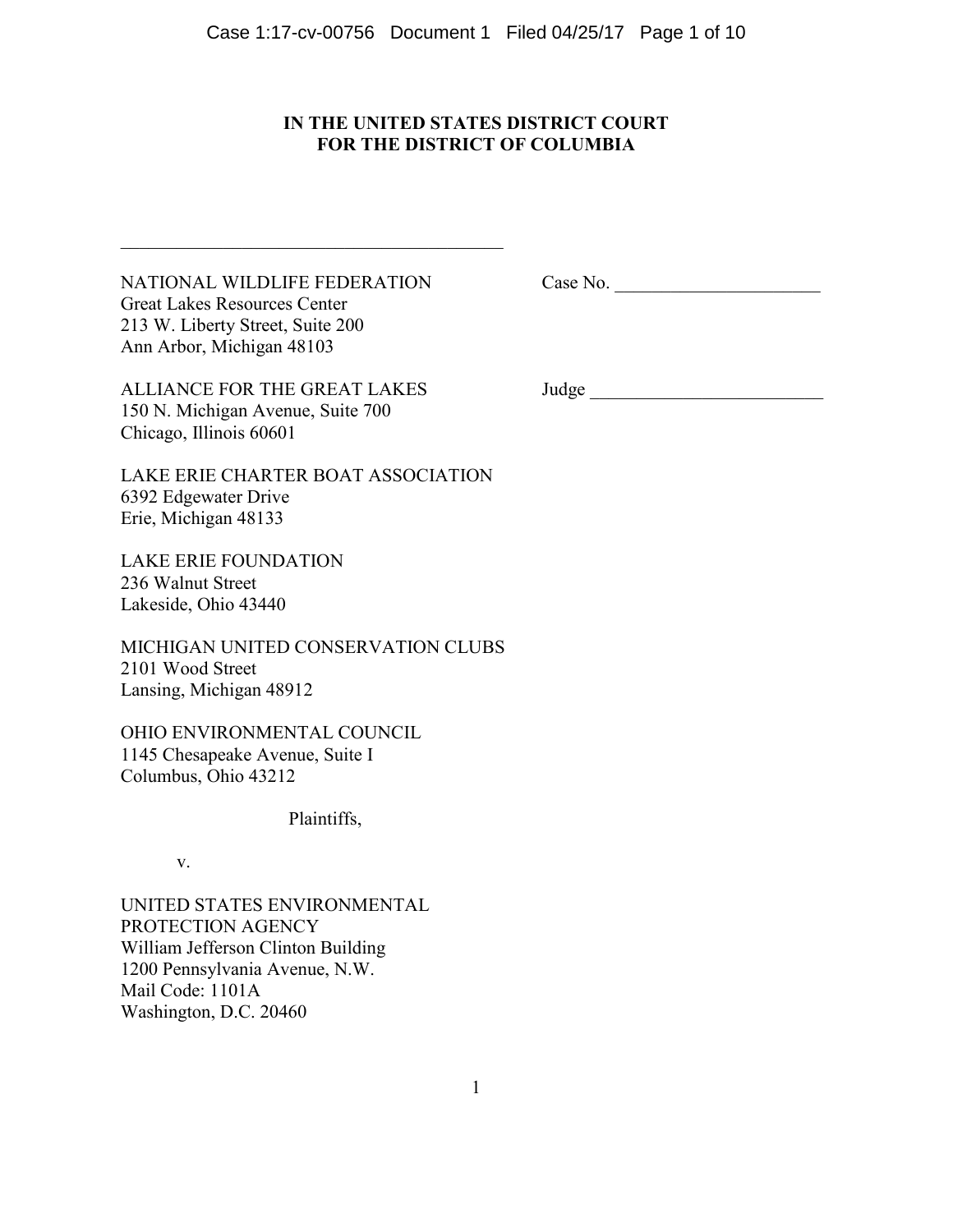# **IN THE UNITED STATES DISTRICT COURT FOR THE DISTRICT OF COLUMBIA**

NATIONAL WILDLIFE FEDERATION Great Lakes Resources Center 213 W. Liberty Street, Suite 200 Ann Arbor, Michigan 48103

 $\_$  . The contribution of the contribution of  $\mathcal{L}_\mathcal{A}$ 

Case No. \_\_\_\_\_\_\_\_\_\_\_\_\_\_\_\_\_\_\_\_\_\_

ALLIANCE FOR THE GREAT LAKES 150 N. Michigan Avenue, Suite 700 Chicago, Illinois 60601

Judge \_\_\_\_\_\_\_\_\_\_\_\_\_\_\_\_\_\_\_\_\_\_\_\_\_

LAKE ERIE CHARTER BOAT ASSOCIATION 6392 Edgewater Drive Erie, Michigan 48133

LAKE ERIE FOUNDATION 236 Walnut Street Lakeside, Ohio 43440

MICHIGAN UNITED CONSERVATION CLUBS 2101 Wood Street Lansing, Michigan 48912

OHIO ENVIRONMENTAL COUNCIL 1145 Chesapeake Avenue, Suite I Columbus, Ohio 43212

Plaintiffs,

v.

UNITED STATES ENVIRONMENTAL PROTECTION AGENCY William Jefferson Clinton Building 1200 Pennsylvania Avenue, N.W. Mail Code: 1101A Washington, D.C. 20460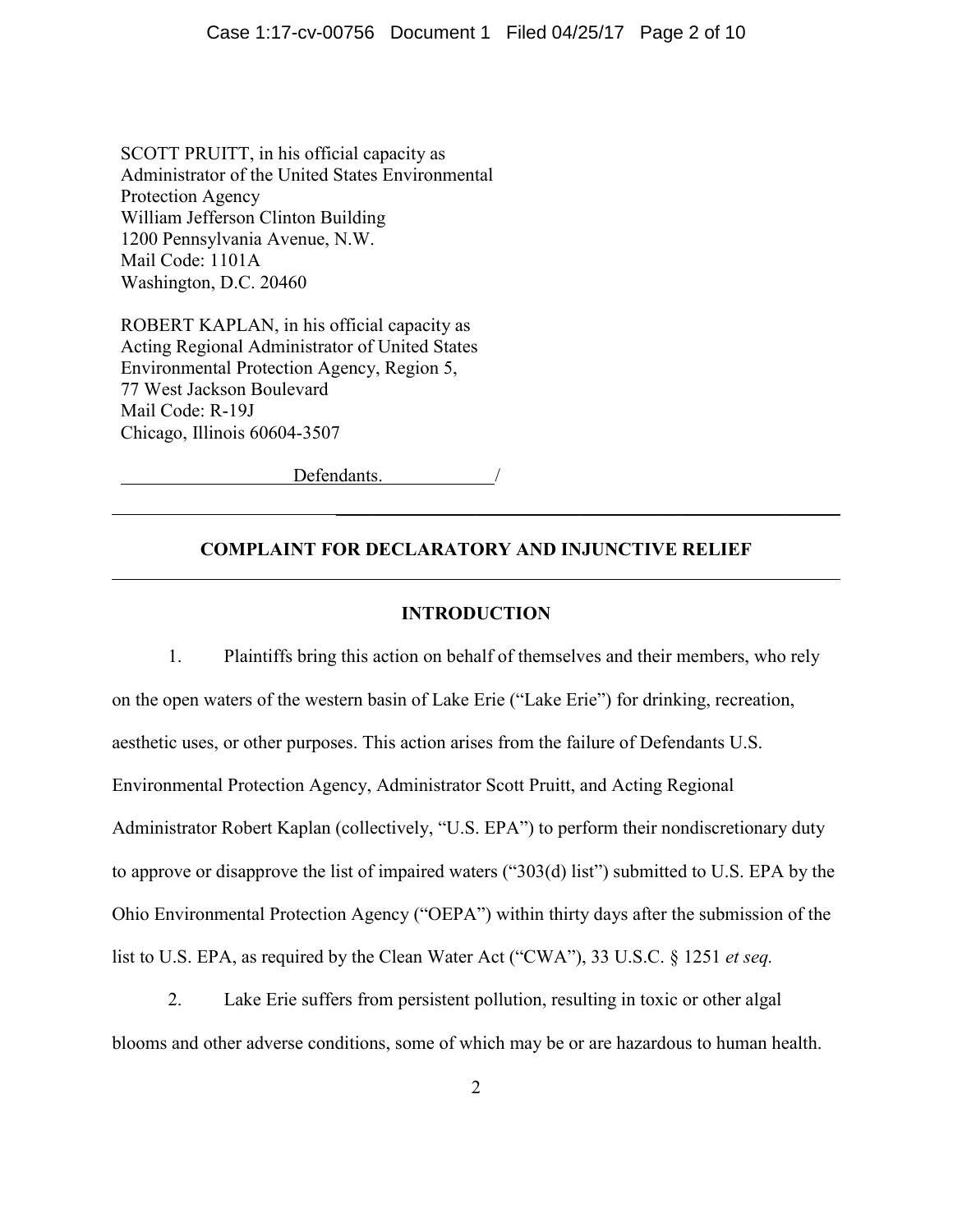SCOTT PRUITT, in his official capacity as Administrator of the United States Environmental Protection Agency William Jefferson Clinton Building 1200 Pennsylvania Avenue, N.W. Mail Code: 1101A Washington, D.C. 20460

ROBERT KAPLAN, in his official capacity as Acting Regional Administrator of United States Environmental Protection Agency, Region 5, 77 West Jackson Boulevard Mail Code: R-19J Chicago, Illinois 60604-3507

 $\overline{a}$ 

Defendants.

## **COMPLAINT FOR DECLARATORY AND INJUNCTIVE RELIEF**

 $\overline{\phantom{a}}$  , and the contract of the contract of the contract of the contract of the contract of the contract of the contract of the contract of the contract of the contract of the contract of the contract of the contrac

#### **INTRODUCTION**

1. Plaintiffs bring this action on behalf of themselves and their members, who rely on the open waters of the western basin of Lake Erie ("Lake Erie") for drinking, recreation, aesthetic uses, or other purposes. This action arises from the failure of Defendants U.S. Environmental Protection Agency, Administrator Scott Pruitt, and Acting Regional Administrator Robert Kaplan (collectively, "U.S. EPA") to perform their nondiscretionary duty to approve or disapprove the list of impaired waters ("303(d) list") submitted to U.S. EPA by the Ohio Environmental Protection Agency ("OEPA") within thirty days after the submission of the list to U.S. EPA, as required by the Clean Water Act ("CWA"), 33 U.S.C. § 1251 *et seq.*

2. Lake Erie suffers from persistent pollution, resulting in toxic or other algal blooms and other adverse conditions, some of which may be or are hazardous to human health.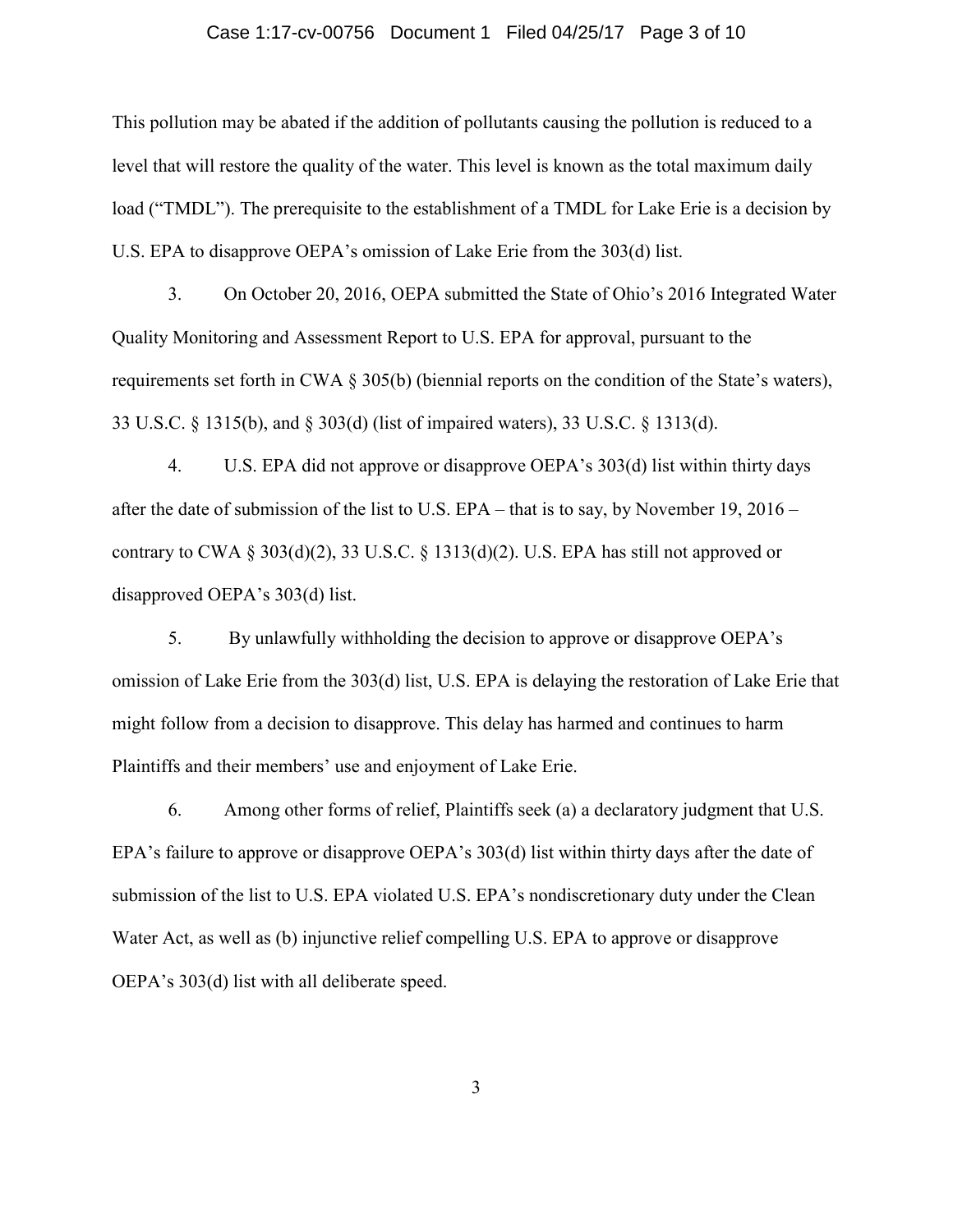### Case 1:17-cv-00756 Document 1 Filed 04/25/17 Page 3 of 10

This pollution may be abated if the addition of pollutants causing the pollution is reduced to a level that will restore the quality of the water. This level is known as the total maximum daily load ("TMDL"). The prerequisite to the establishment of a TMDL for Lake Erie is a decision by U.S. EPA to disapprove OEPA's omission of Lake Erie from the 303(d) list.

3. On October 20, 2016, OEPA submitted the State of Ohio's 2016 Integrated Water Quality Monitoring and Assessment Report to U.S. EPA for approval, pursuant to the requirements set forth in CWA § 305(b) (biennial reports on the condition of the State's waters), 33 U.S.C. § 1315(b), and § 303(d) (list of impaired waters), 33 U.S.C. § 1313(d).

4. U.S. EPA did not approve or disapprove OEPA's 303(d) list within thirty days after the date of submission of the list to U.S. EPA – that is to say, by November 19, 2016 – contrary to CWA § 303(d)(2), 33 U.S.C. § 1313(d)(2). U.S. EPA has still not approved or disapproved OEPA's 303(d) list.

5. By unlawfully withholding the decision to approve or disapprove OEPA's omission of Lake Erie from the 303(d) list, U.S. EPA is delaying the restoration of Lake Erie that might follow from a decision to disapprove. This delay has harmed and continues to harm Plaintiffs and their members' use and enjoyment of Lake Erie.

6. Among other forms of relief, Plaintiffs seek (a) a declaratory judgment that U.S. EPA's failure to approve or disapprove OEPA's 303(d) list within thirty days after the date of submission of the list to U.S. EPA violated U.S. EPA's nondiscretionary duty under the Clean Water Act, as well as (b) injunctive relief compelling U.S. EPA to approve or disapprove OEPA's 303(d) list with all deliberate speed.

3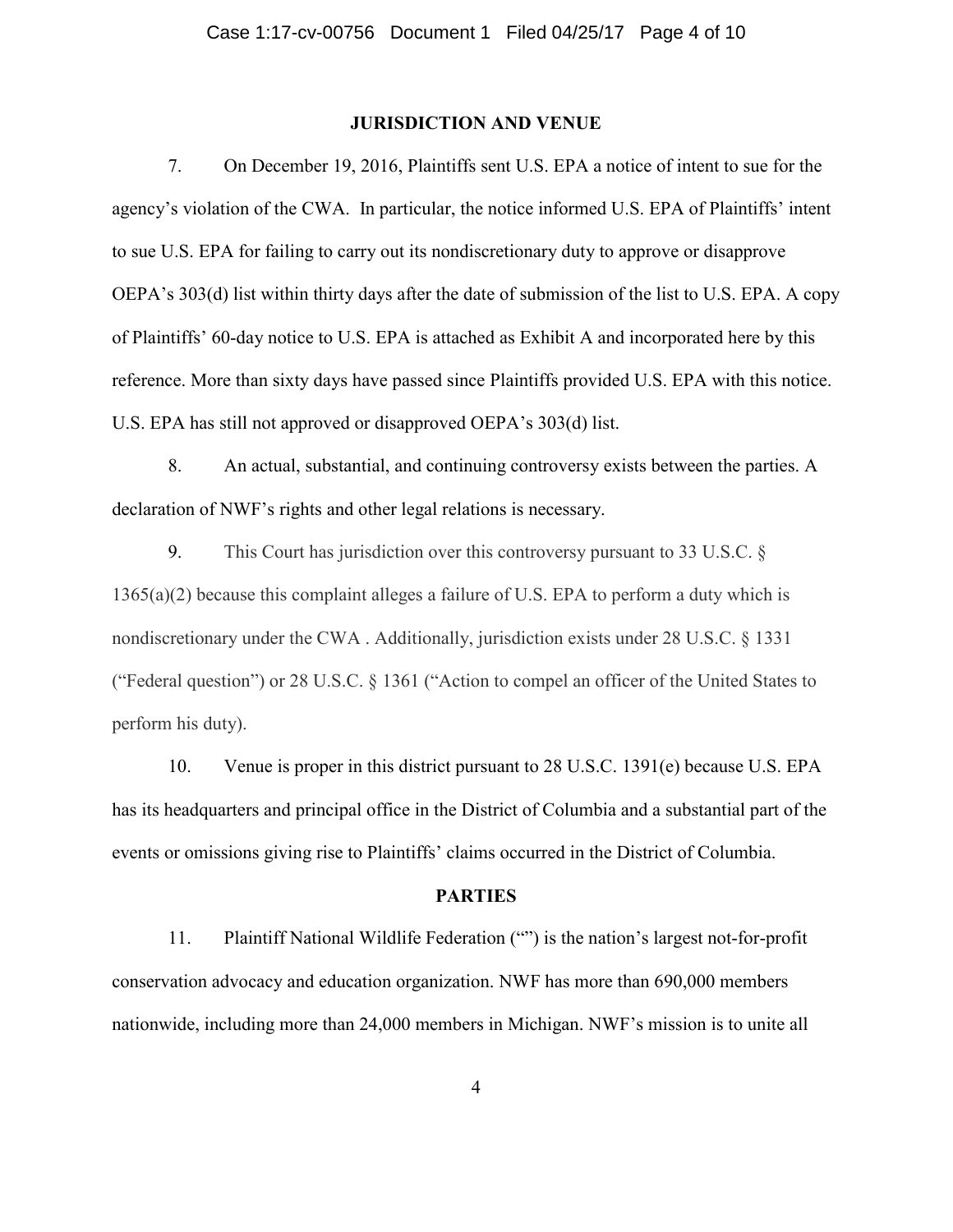### **JURISDICTION AND VENUE**

7. On December 19, 2016, Plaintiffs sent U.S. EPA a notice of intent to sue for the agency's violation of the CWA. In particular, the notice informed U.S. EPA of Plaintiffs' intent to sue U.S. EPA for failing to carry out its nondiscretionary duty to approve or disapprove OEPA's 303(d) list within thirty days after the date of submission of the list to U.S. EPA. A copy of Plaintiffs' 60-day notice to U.S. EPA is attached as Exhibit A and incorporated here by this reference. More than sixty days have passed since Plaintiffs provided U.S. EPA with this notice. U.S. EPA has still not approved or disapproved OEPA's 303(d) list.

8. An actual, substantial, and continuing controversy exists between the parties. A declaration of NWF's rights and other legal relations is necessary.

9. This Court has jurisdiction over this controversy pursuant to 33 U.S.C. § 1365(a)(2) because this complaint alleges a failure of U.S. EPA to perform a duty which is nondiscretionary under the CWA . Additionally, jurisdiction exists under 28 U.S.C. § 1331 ("Federal question") or 28 U.S.C. § 1361 ("Action to compel an officer of the United States to perform his duty).

10. Venue is proper in this district pursuant to 28 U.S.C. 1391(e) because U.S. EPA has its headquarters and principal office in the District of Columbia and a substantial part of the events or omissions giving rise to Plaintiffs' claims occurred in the District of Columbia.

#### **PARTIES**

11. Plaintiff National Wildlife Federation ("") is the nation's largest not-for-profit conservation advocacy and education organization. NWF has more than 690,000 members nationwide, including more than 24,000 members in Michigan. NWF's mission is to unite all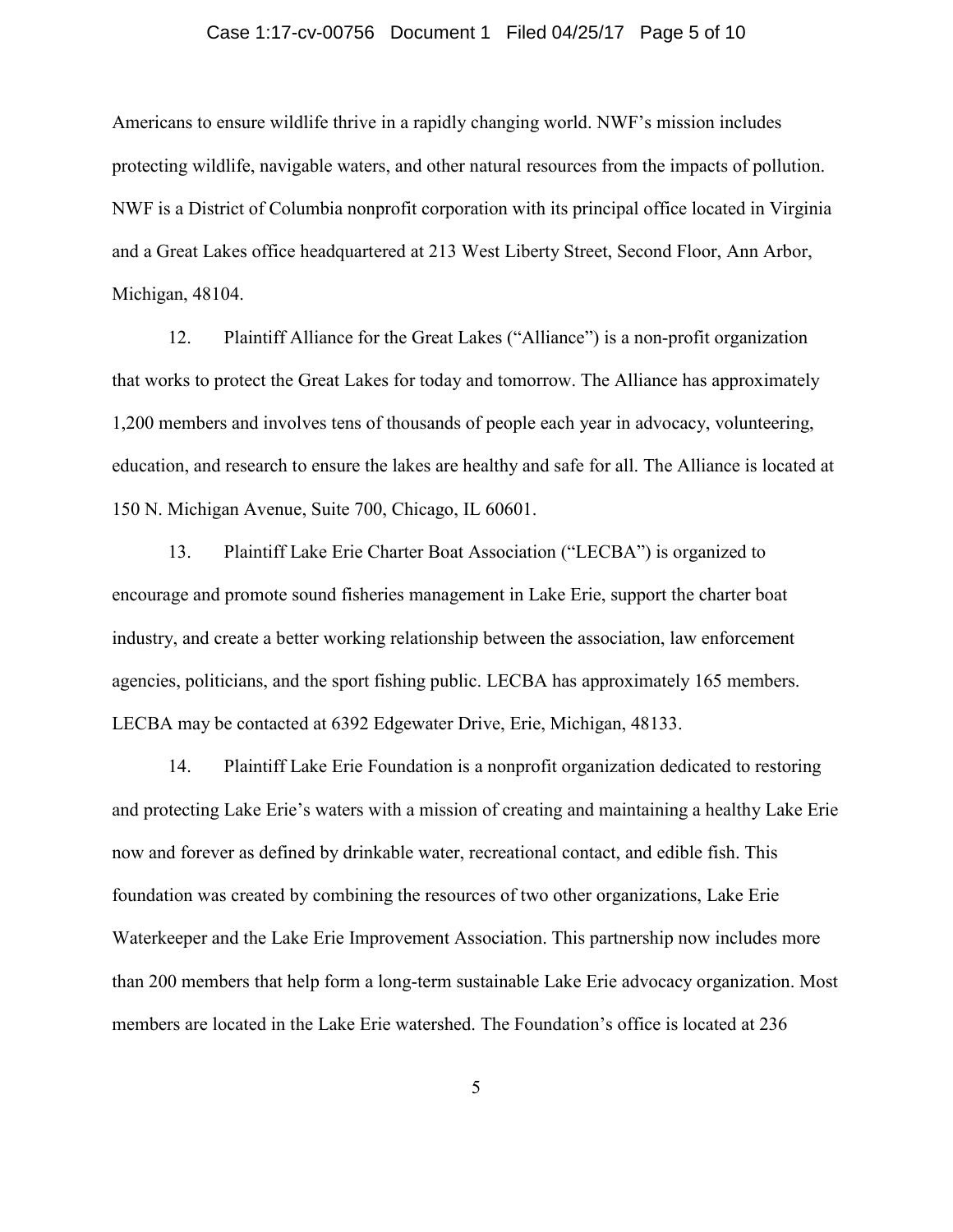## Case 1:17-cv-00756 Document 1 Filed 04/25/17 Page 5 of 10

Americans to ensure wildlife thrive in a rapidly changing world. NWF's mission includes protecting wildlife, navigable waters, and other natural resources from the impacts of pollution. NWF is a District of Columbia nonprofit corporation with its principal office located in Virginia and a Great Lakes office headquartered at 213 West Liberty Street, Second Floor, Ann Arbor, Michigan, 48104.

12. Plaintiff Alliance for the Great Lakes ("Alliance") is a non-profit organization that works to protect the Great Lakes for today and tomorrow. The Alliance has approximately 1,200 members and involves tens of thousands of people each year in advocacy, volunteering, education, and research to ensure the lakes are healthy and safe for all. The Alliance is located at 150 N. Michigan Avenue, Suite 700, Chicago, IL 60601.

13. Plaintiff Lake Erie Charter Boat Association ("LECBA") is organized to encourage and promote sound fisheries management in Lake Erie, support the charter boat industry, and create a better working relationship between the association, law enforcement agencies, politicians, and the sport fishing public. LECBA has approximately 165 members. LECBA may be contacted at 6392 Edgewater Drive, Erie, Michigan, 48133.

14. Plaintiff Lake Erie Foundation is a nonprofit organization dedicated to restoring and protecting Lake Erie's waters with a mission of creating and maintaining a healthy Lake Erie now and forever as defined by drinkable water, recreational contact, and edible fish. This foundation was created by combining the resources of two other organizations, Lake Erie Waterkeeper and the Lake Erie Improvement Association. This partnership now includes more than 200 members that help form a long-term sustainable Lake Erie advocacy organization. Most members are located in the Lake Erie watershed. The Foundation's office is located at 236

5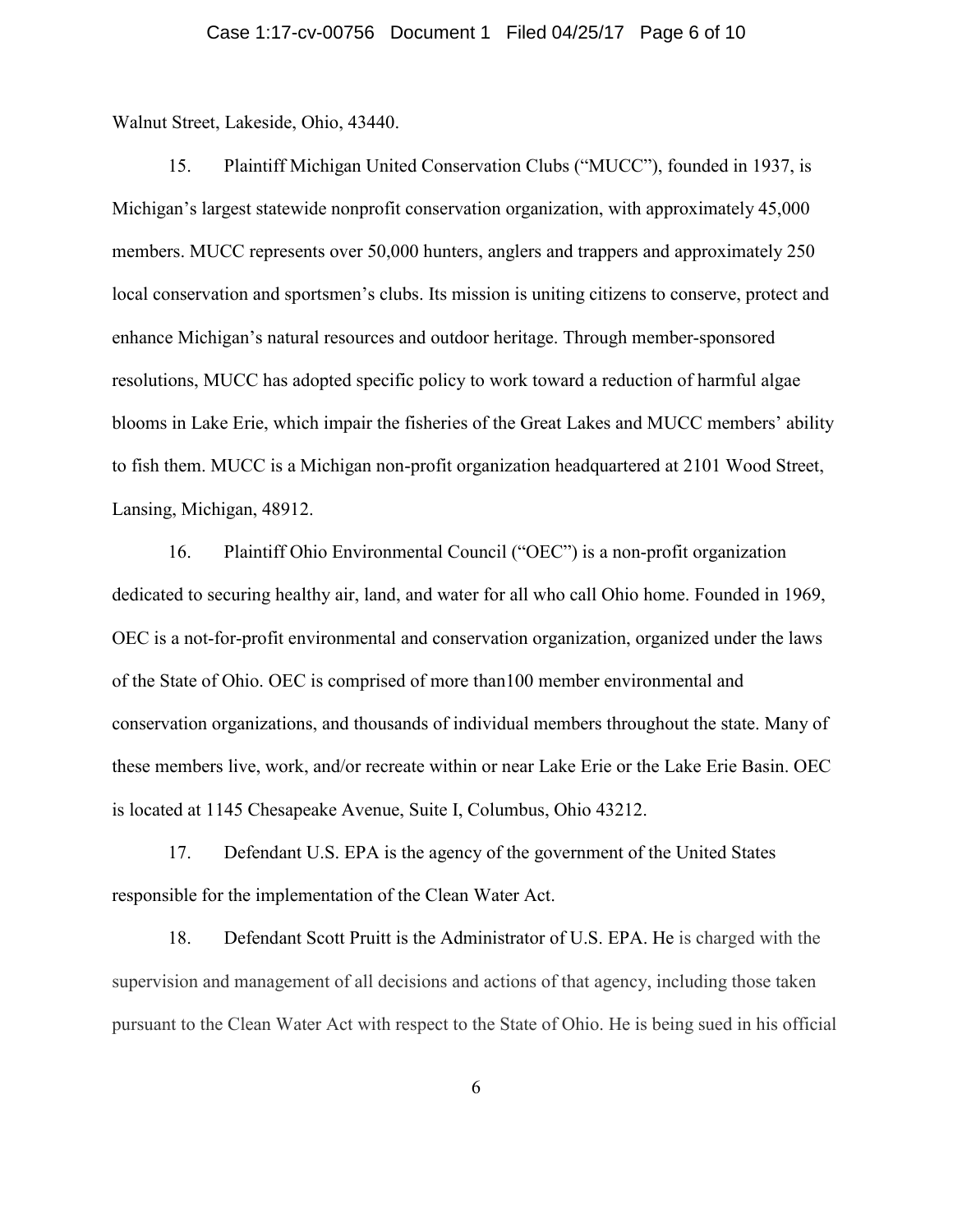### Case 1:17-cv-00756 Document 1 Filed 04/25/17 Page 6 of 10

Walnut Street, Lakeside, Ohio, 43440.

15. Plaintiff Michigan United Conservation Clubs ("MUCC"), founded in 1937, is Michigan's largest statewide nonprofit conservation organization, with approximately 45,000 members. MUCC represents over 50,000 hunters, anglers and trappers and approximately 250 local conservation and sportsmen's clubs. Its mission is uniting citizens to conserve, protect and enhance Michigan's natural resources and outdoor heritage. Through member-sponsored resolutions, MUCC has adopted specific policy to work toward a reduction of harmful algae blooms in Lake Erie, which impair the fisheries of the Great Lakes and MUCC members' ability to fish them. MUCC is a Michigan non-profit organization headquartered at 2101 Wood Street, Lansing, Michigan, 48912.

16. Plaintiff Ohio Environmental Council ("OEC") is a non-profit organization dedicated to securing healthy air, land, and water for all who call Ohio home. Founded in 1969, OEC is a not-for-profit environmental and conservation organization, organized under the laws of the State of Ohio. OEC is comprised of more than100 member environmental and conservation organizations, and thousands of individual members throughout the state. Many of these members live, work, and/or recreate within or near Lake Erie or the Lake Erie Basin. OEC is located at 1145 Chesapeake Avenue, Suite I, Columbus, Ohio 43212.

17. Defendant U.S. EPA is the agency of the government of the United States responsible for the implementation of the Clean Water Act.

18. Defendant Scott Pruitt is the Administrator of U.S. EPA. He is charged with the supervision and management of all decisions and actions of that agency, including those taken pursuant to the Clean Water Act with respect to the State of Ohio. He is being sued in his official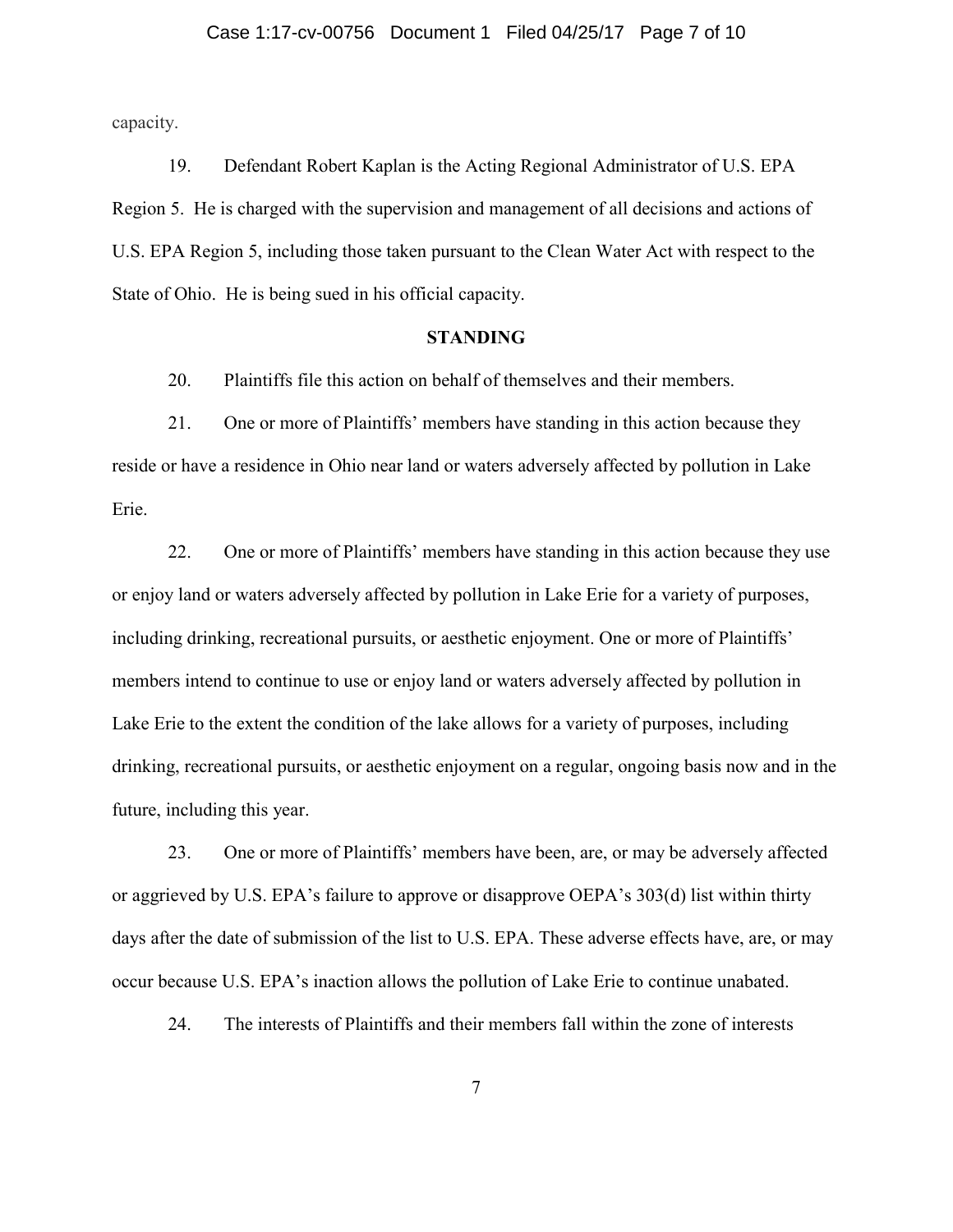### Case 1:17-cv-00756 Document 1 Filed 04/25/17 Page 7 of 10

capacity.

19. Defendant Robert Kaplan is the Acting Regional Administrator of U.S. EPA Region 5. He is charged with the supervision and management of all decisions and actions of U.S. EPA Region 5, including those taken pursuant to the Clean Water Act with respect to the State of Ohio. He is being sued in his official capacity.

#### **STANDING**

20. Plaintiffs file this action on behalf of themselves and their members.

21. One or more of Plaintiffs' members have standing in this action because they reside or have a residence in Ohio near land or waters adversely affected by pollution in Lake Erie.

22. One or more of Plaintiffs' members have standing in this action because they use or enjoy land or waters adversely affected by pollution in Lake Erie for a variety of purposes, including drinking, recreational pursuits, or aesthetic enjoyment. One or more of Plaintiffs' members intend to continue to use or enjoy land or waters adversely affected by pollution in Lake Erie to the extent the condition of the lake allows for a variety of purposes, including drinking, recreational pursuits, or aesthetic enjoyment on a regular, ongoing basis now and in the future, including this year.

23. One or more of Plaintiffs' members have been, are, or may be adversely affected or aggrieved by U.S. EPA's failure to approve or disapprove OEPA's 303(d) list within thirty days after the date of submission of the list to U.S. EPA. These adverse effects have, are, or may occur because U.S. EPA's inaction allows the pollution of Lake Erie to continue unabated.

24. The interests of Plaintiffs and their members fall within the zone of interests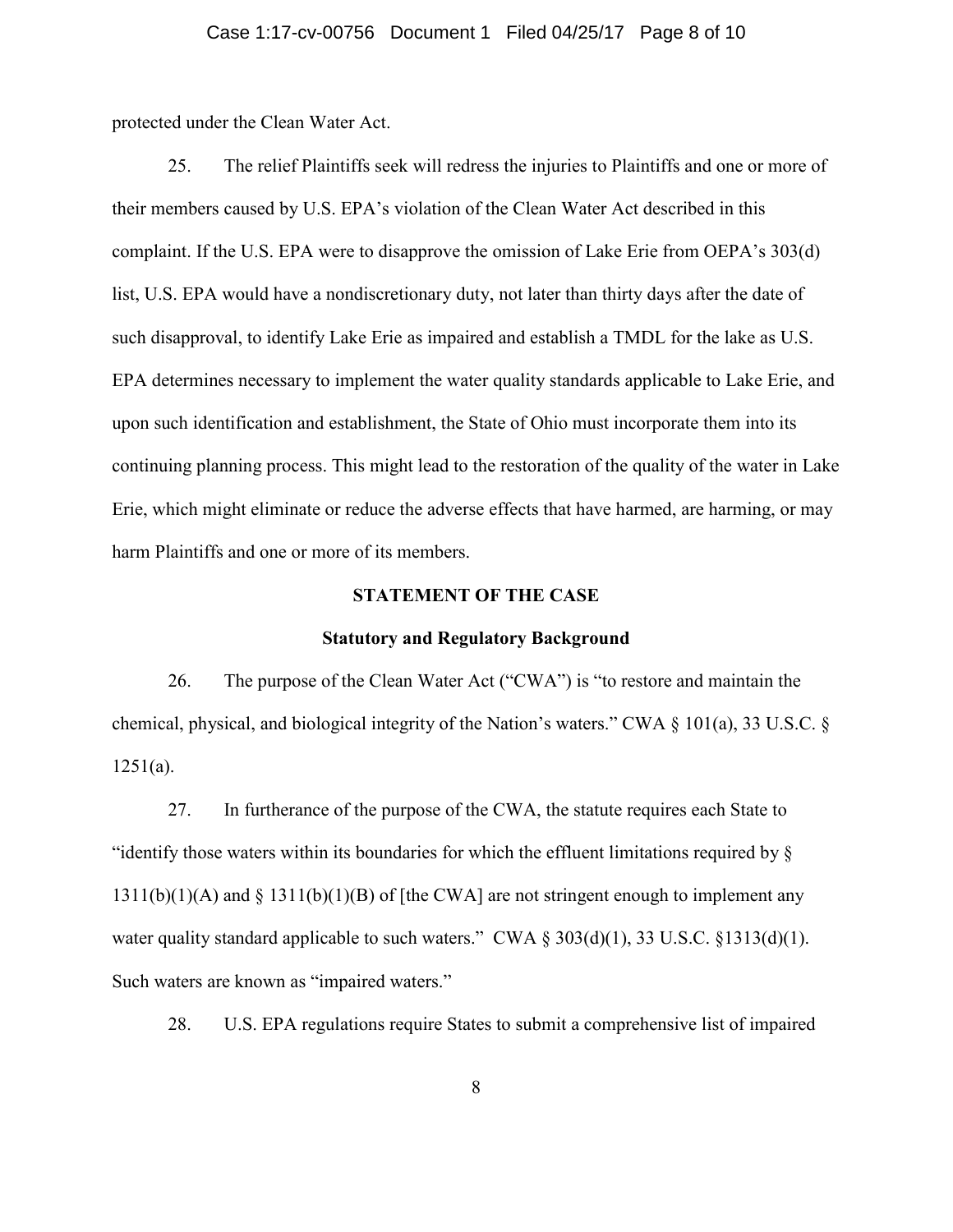## Case 1:17-cv-00756 Document 1 Filed 04/25/17 Page 8 of 10

protected under the Clean Water Act.

25. The relief Plaintiffs seek will redress the injuries to Plaintiffs and one or more of their members caused by U.S. EPA's violation of the Clean Water Act described in this complaint. If the U.S. EPA were to disapprove the omission of Lake Erie from OEPA's 303(d) list, U.S. EPA would have a nondiscretionary duty, not later than thirty days after the date of such disapproval, to identify Lake Erie as impaired and establish a TMDL for the lake as U.S. EPA determines necessary to implement the water quality standards applicable to Lake Erie, and upon such identification and establishment, the State of Ohio must incorporate them into its continuing planning process. This might lead to the restoration of the quality of the water in Lake Erie, which might eliminate or reduce the adverse effects that have harmed, are harming, or may harm Plaintiffs and one or more of its members.

### **STATEMENT OF THE CASE**

#### **Statutory and Regulatory Background**

26. The purpose of the Clean Water Act ("CWA") is "to restore and maintain the chemical, physical, and biological integrity of the Nation's waters." CWA § 101(a), 33 U.S.C. §  $1251(a)$ .

27. In furtherance of the purpose of the CWA, the statute requires each State to "identify those waters within its boundaries for which the effluent limitations required by §  $1311(b)(1)(A)$  and § 1311(b)(1)(B) of [the CWA] are not stringent enough to implement any water quality standard applicable to such waters." CWA  $\S 303(d)(1)$ , 33 U.S.C.  $\S 1313(d)(1)$ . Such waters are known as "impaired waters."

28. U.S. EPA regulations require States to submit a comprehensive list of impaired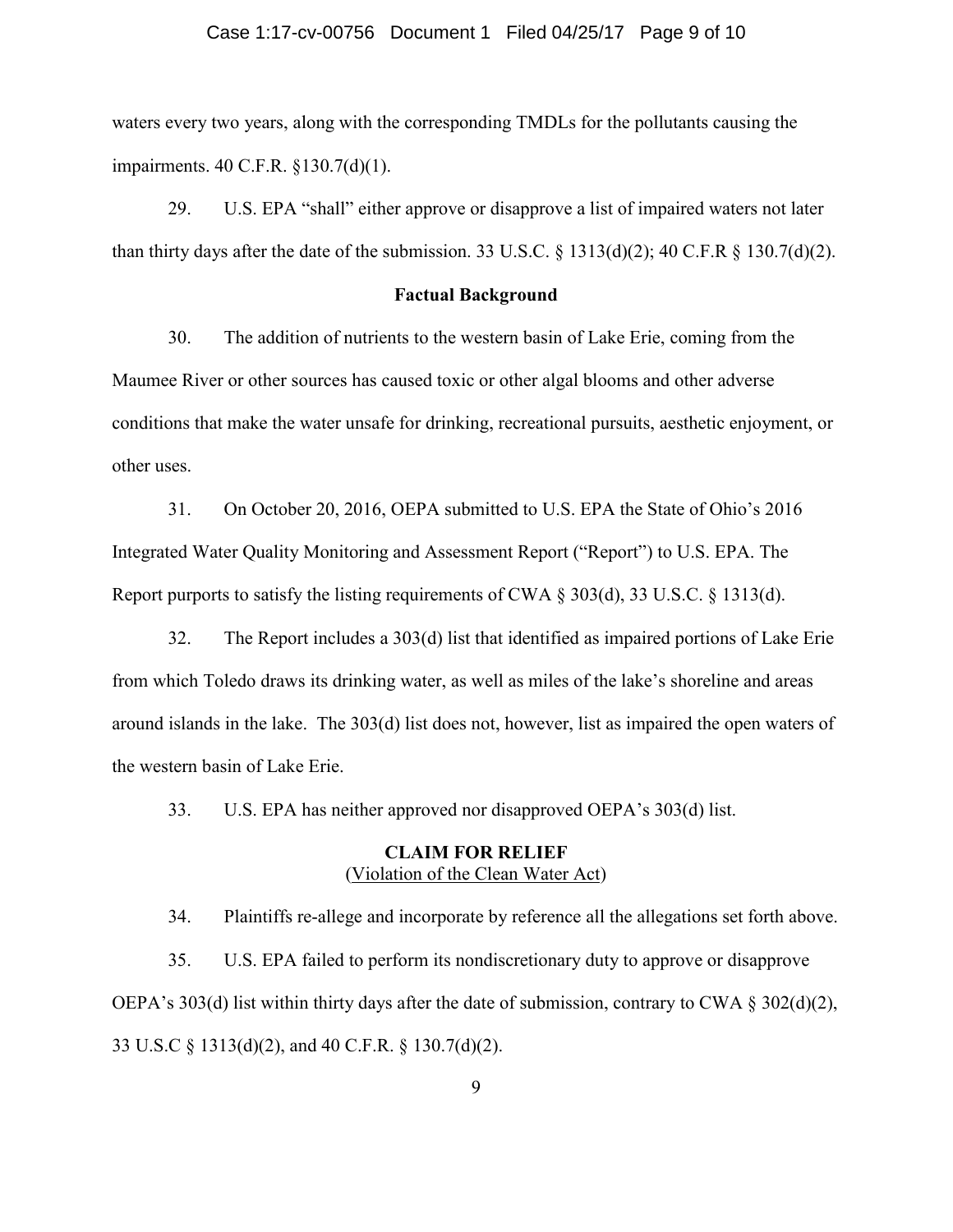### Case 1:17-cv-00756 Document 1 Filed 04/25/17 Page 9 of 10

waters every two years, along with the corresponding TMDLs for the pollutants causing the impairments. 40 C.F.R. §130.7(d)(1).

29. U.S. EPA "shall" either approve or disapprove a list of impaired waters not later than thirty days after the date of the submission. 33 U.S.C.  $\S$  1313(d)(2); 40 C.F.R  $\S$  130.7(d)(2).

### **Factual Background**

30. The addition of nutrients to the western basin of Lake Erie, coming from the Maumee River or other sources has caused toxic or other algal blooms and other adverse conditions that make the water unsafe for drinking, recreational pursuits, aesthetic enjoyment, or other uses.

31. On October 20, 2016, OEPA submitted to U.S. EPA the State of Ohio's 2016 Integrated Water Quality Monitoring and Assessment Report ("Report") to U.S. EPA. The Report purports to satisfy the listing requirements of CWA  $\S 303(d)$ , 33 U.S.C.  $\S 1313(d)$ .

32. The Report includes a 303(d) list that identified as impaired portions of Lake Erie from which Toledo draws its drinking water, as well as miles of the lake's shoreline and areas around islands in the lake. The 303(d) list does not, however, list as impaired the open waters of the western basin of Lake Erie.

33. U.S. EPA has neither approved nor disapproved OEPA's 303(d) list.

# **CLAIM FOR RELIEF**  (Violation of the Clean Water Act)

34. Plaintiffs re-allege and incorporate by reference all the allegations set forth above. 35. U.S. EPA failed to perform its nondiscretionary duty to approve or disapprove OEPA's 303(d) list within thirty days after the date of submission, contrary to CWA  $\S 302(d)(2)$ , 33 U.S.C § 1313(d)(2), and 40 C.F.R. § 130.7(d)(2).